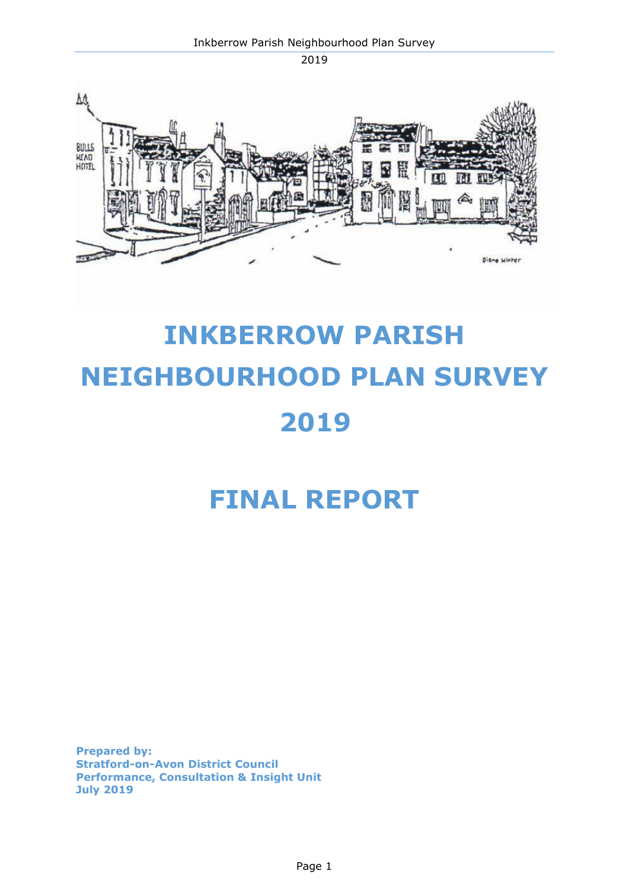

# **INKBERROW PARISH NEIGHBOURHOOD PLAN SURVEY 2019**

# **FINAL REPORT**

**Prepared by: Stratford-on-Avon District Council Performance, Consultation & Insight Unit July 2019**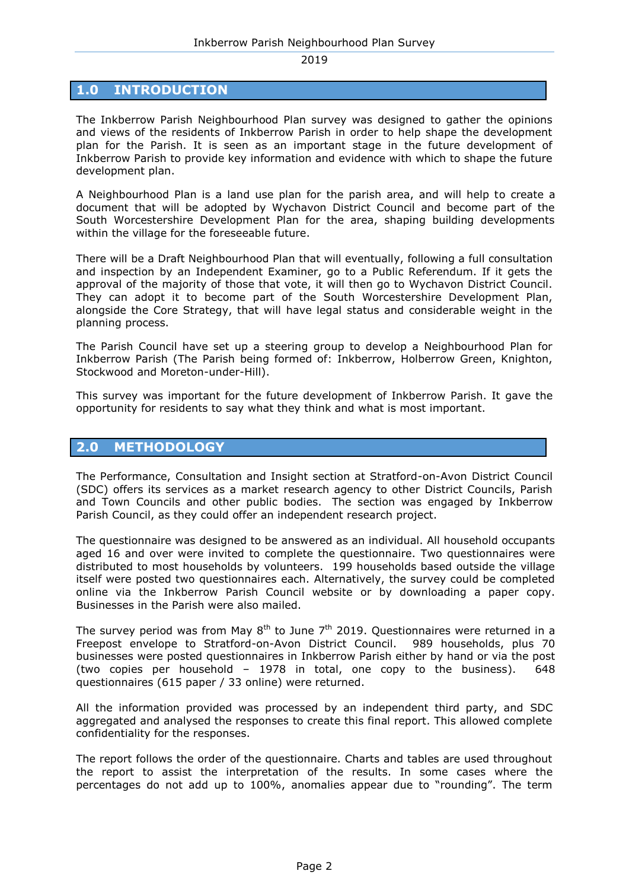## **1.0 INTRODUCTION**

The Inkberrow Parish Neighbourhood Plan survey was designed to gather the opinions and views of the residents of Inkberrow Parish in order to help shape the development plan for the Parish. It is seen as an important stage in the future development of Inkberrow Parish to provide key information and evidence with which to shape the future development plan.

A Neighbourhood Plan is a land use plan for the parish area, and will help to create a document that will be adopted by Wychavon District Council and become part of the South Worcestershire Development Plan for the area, shaping building developments within the village for the foreseeable future.

There will be a Draft Neighbourhood Plan that will eventually, following a full consultation and inspection by an Independent Examiner, go to a Public Referendum. If it gets the approval of the majority of those that vote, it will then go to Wychavon District Council. They can adopt it to become part of the South Worcestershire Development Plan, alongside the Core Strategy, that will have legal status and considerable weight in the planning process.

The Parish Council have set up a steering group to develop a Neighbourhood Plan for Inkberrow Parish (The Parish being formed of: Inkberrow, Holberrow Green, Knighton, Stockwood and Moreton-under-Hill).

This survey was important for the future development of Inkberrow Parish. It gave the opportunity for residents to say what they think and what is most important.

#### **2.0 METHODOLOGY**

The Performance, Consultation and Insight section at Stratford-on-Avon District Council (SDC) offers its services as a market research agency to other District Councils, Parish and Town Councils and other public bodies. The section was engaged by Inkberrow Parish Council, as they could offer an independent research project.

The questionnaire was designed to be answered as an individual. All household occupants aged 16 and over were invited to complete the questionnaire. Two questionnaires were distributed to most households by volunteers. 199 households based outside the village itself were posted two questionnaires each. Alternatively, the survey could be completed online via the Inkberrow Parish Council website or by downloading a paper copy. Businesses in the Parish were also mailed.

The survey period was from May  $8^{th}$  to June  $7^{th}$  2019. Questionnaires were returned in a Freepost envelope to Stratford-on-Avon District Council. 989 households, plus 70 businesses were posted questionnaires in Inkberrow Parish either by hand or via the post (two copies per household – 1978 in total, one copy to the business). 648 questionnaires (615 paper / 33 online) were returned.

All the information provided was processed by an independent third party, and SDC aggregated and analysed the responses to create this final report. This allowed complete confidentiality for the responses.

The report follows the order of the questionnaire. Charts and tables are used throughout the report to assist the interpretation of the results. In some cases where the percentages do not add up to 100%, anomalies appear due to "rounding". The term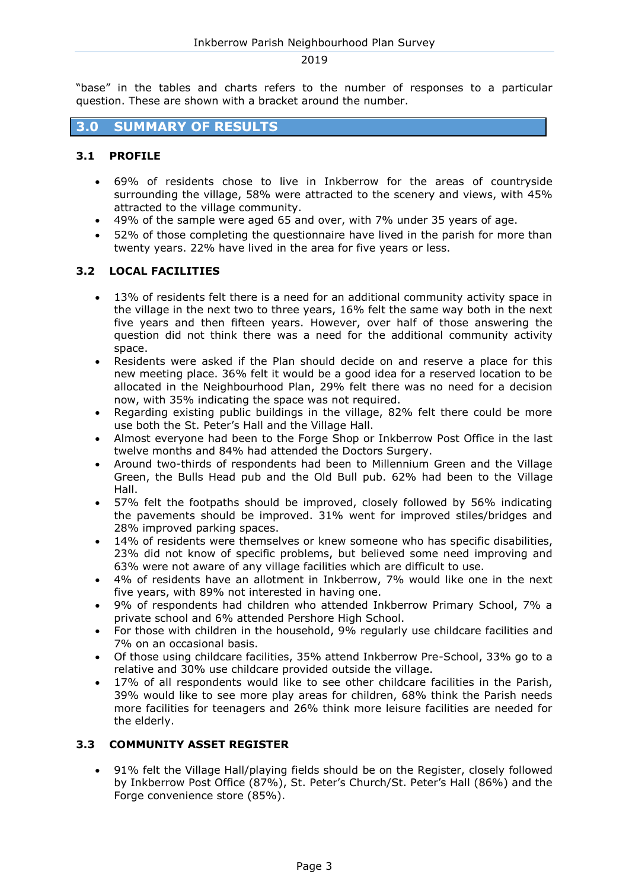"base" in the tables and charts refers to the number of responses to a particular question. These are shown with a bracket around the number.

# **3.0 SUMMARY OF RESULTS**

#### **3.1 PROFILE**

- 69% of residents chose to live in Inkberrow for the areas of countryside surrounding the village, 58% were attracted to the scenery and views, with 45% attracted to the village community.
- 49% of the sample were aged 65 and over, with 7% under 35 years of age.
- 52% of those completing the questionnaire have lived in the parish for more than twenty years. 22% have lived in the area for five years or less.

#### **3.2 LOCAL FACILITIES**

- 13% of residents felt there is a need for an additional community activity space in the village in the next two to three years, 16% felt the same way both in the next five years and then fifteen years. However, over half of those answering the question did not think there was a need for the additional community activity space.
- Residents were asked if the Plan should decide on and reserve a place for this new meeting place. 36% felt it would be a good idea for a reserved location to be allocated in the Neighbourhood Plan, 29% felt there was no need for a decision now, with 35% indicating the space was not required.
- Regarding existing public buildings in the village, 82% felt there could be more use both the St. Peter's Hall and the Village Hall.
- Almost everyone had been to the Forge Shop or Inkberrow Post Office in the last twelve months and 84% had attended the Doctors Surgery.
- Around two-thirds of respondents had been to Millennium Green and the Village Green, the Bulls Head pub and the Old Bull pub. 62% had been to the Village Hall.
- 57% felt the footpaths should be improved, closely followed by 56% indicating the pavements should be improved. 31% went for improved stiles/bridges and 28% improved parking spaces.
- 14% of residents were themselves or knew someone who has specific disabilities, 23% did not know of specific problems, but believed some need improving and 63% were not aware of any village facilities which are difficult to use.
- 4% of residents have an allotment in Inkberrow, 7% would like one in the next five years, with 89% not interested in having one.
- 9% of respondents had children who attended Inkberrow Primary School, 7% a private school and 6% attended Pershore High School.
- For those with children in the household, 9% regularly use childcare facilities and 7% on an occasional basis.
- Of those using childcare facilities, 35% attend Inkberrow Pre-School, 33% go to a relative and 30% use childcare provided outside the village.
- 17% of all respondents would like to see other childcare facilities in the Parish, 39% would like to see more play areas for children, 68% think the Parish needs more facilities for teenagers and 26% think more leisure facilities are needed for the elderly.

#### **3.3 COMMUNITY ASSET REGISTER**

 91% felt the Village Hall/playing fields should be on the Register, closely followed by Inkberrow Post Office (87%), St. Peter's Church/St. Peter's Hall (86%) and the Forge convenience store (85%).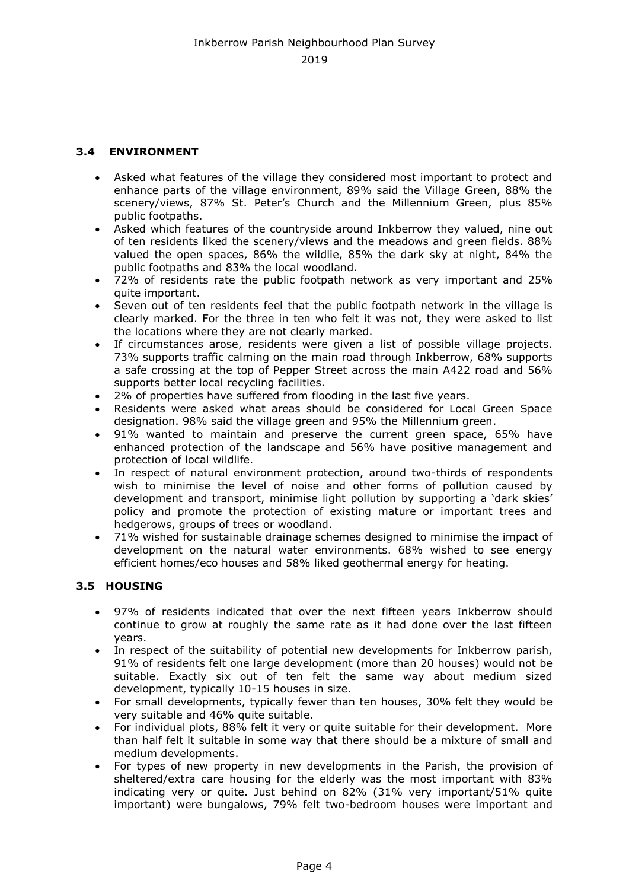## **3.4 ENVIRONMENT**

- Asked what features of the village they considered most important to protect and enhance parts of the village environment, 89% said the Village Green, 88% the scenery/views, 87% St. Peter's Church and the Millennium Green, plus 85% public footpaths.
- Asked which features of the countryside around Inkberrow they valued, nine out of ten residents liked the scenery/views and the meadows and green fields. 88% valued the open spaces, 86% the wildlie, 85% the dark sky at night, 84% the public footpaths and 83% the local woodland.
- 72% of residents rate the public footpath network as very important and 25% quite important.
- Seven out of ten residents feel that the public footpath network in the village is clearly marked. For the three in ten who felt it was not, they were asked to list the locations where they are not clearly marked.
- If circumstances arose, residents were given a list of possible village projects. 73% supports traffic calming on the main road through Inkberrow, 68% supports a safe crossing at the top of Pepper Street across the main A422 road and 56% supports better local recycling facilities.
- 2% of properties have suffered from flooding in the last five years.
- Residents were asked what areas should be considered for Local Green Space designation. 98% said the village green and 95% the Millennium green.
- 91% wanted to maintain and preserve the current green space, 65% have enhanced protection of the landscape and 56% have positive management and protection of local wildlife.
- In respect of natural environment protection, around two-thirds of respondents wish to minimise the level of noise and other forms of pollution caused by development and transport, minimise light pollution by supporting a 'dark skies' policy and promote the protection of existing mature or important trees and hedgerows, groups of trees or woodland.
- 71% wished for sustainable drainage schemes designed to minimise the impact of development on the natural water environments. 68% wished to see energy efficient homes/eco houses and 58% liked geothermal energy for heating.

#### **3.5 HOUSING**

- 97% of residents indicated that over the next fifteen years Inkberrow should continue to grow at roughly the same rate as it had done over the last fifteen years.
- In respect of the suitability of potential new developments for Inkberrow parish, 91% of residents felt one large development (more than 20 houses) would not be suitable. Exactly six out of ten felt the same way about medium sized development, typically 10-15 houses in size.
- For small developments, typically fewer than ten houses, 30% felt they would be very suitable and 46% quite suitable.
- For individual plots, 88% felt it very or quite suitable for their development. More than half felt it suitable in some way that there should be a mixture of small and medium developments.
- For types of new property in new developments in the Parish, the provision of sheltered/extra care housing for the elderly was the most important with 83% indicating very or quite. Just behind on 82% (31% very important/51% quite important) were bungalows, 79% felt two-bedroom houses were important and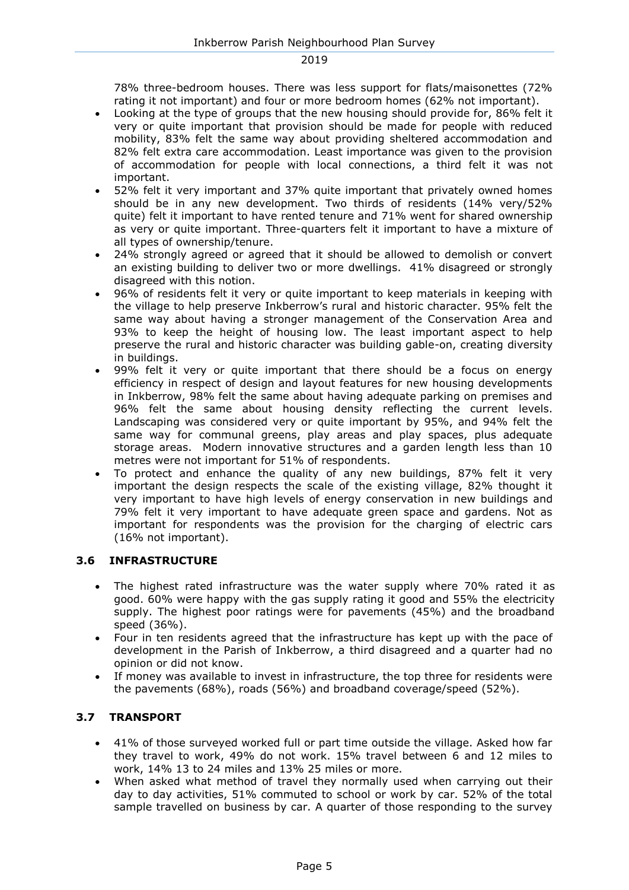78% three-bedroom houses. There was less support for flats/maisonettes (72% rating it not important) and four or more bedroom homes (62% not important).

- Looking at the type of groups that the new housing should provide for, 86% felt it very or quite important that provision should be made for people with reduced mobility, 83% felt the same way about providing sheltered accommodation and 82% felt extra care accommodation. Least importance was given to the provision of accommodation for people with local connections, a third felt it was not important.
- 52% felt it very important and 37% quite important that privately owned homes should be in any new development. Two thirds of residents (14% very/52% quite) felt it important to have rented tenure and 71% went for shared ownership as very or quite important. Three-quarters felt it important to have a mixture of all types of ownership/tenure.
- 24% strongly agreed or agreed that it should be allowed to demolish or convert an existing building to deliver two or more dwellings. 41% disagreed or strongly disagreed with this notion.
- 96% of residents felt it very or quite important to keep materials in keeping with the village to help preserve Inkberrow's rural and historic character. 95% felt the same way about having a stronger management of the Conservation Area and 93% to keep the height of housing low. The least important aspect to help preserve the rural and historic character was building gable-on, creating diversity in buildings.
- 99% felt it very or quite important that there should be a focus on energy efficiency in respect of design and layout features for new housing developments in Inkberrow, 98% felt the same about having adequate parking on premises and 96% felt the same about housing density reflecting the current levels. Landscaping was considered very or quite important by 95%, and 94% felt the same way for communal greens, play areas and play spaces, plus adequate storage areas. Modern innovative structures and a garden length less than 10 metres were not important for 51% of respondents.
- To protect and enhance the quality of any new buildings, 87% felt it very important the design respects the scale of the existing village, 82% thought it very important to have high levels of energy conservation in new buildings and 79% felt it very important to have adequate green space and gardens. Not as important for respondents was the provision for the charging of electric cars (16% not important).

#### **3.6 INFRASTRUCTURE**

- The highest rated infrastructure was the water supply where 70% rated it as good. 60% were happy with the gas supply rating it good and 55% the electricity supply. The highest poor ratings were for pavements (45%) and the broadband speed (36%).
- Four in ten residents agreed that the infrastructure has kept up with the pace of development in the Parish of Inkberrow, a third disagreed and a quarter had no opinion or did not know.
- If money was available to invest in infrastructure, the top three for residents were the pavements (68%), roads (56%) and broadband coverage/speed (52%).

#### **3.7 TRANSPORT**

- 41% of those surveyed worked full or part time outside the village. Asked how far they travel to work, 49% do not work. 15% travel between 6 and 12 miles to work, 14% 13 to 24 miles and 13% 25 miles or more.
- When asked what method of travel they normally used when carrying out their day to day activities, 51% commuted to school or work by car. 52% of the total sample travelled on business by car. A quarter of those responding to the survey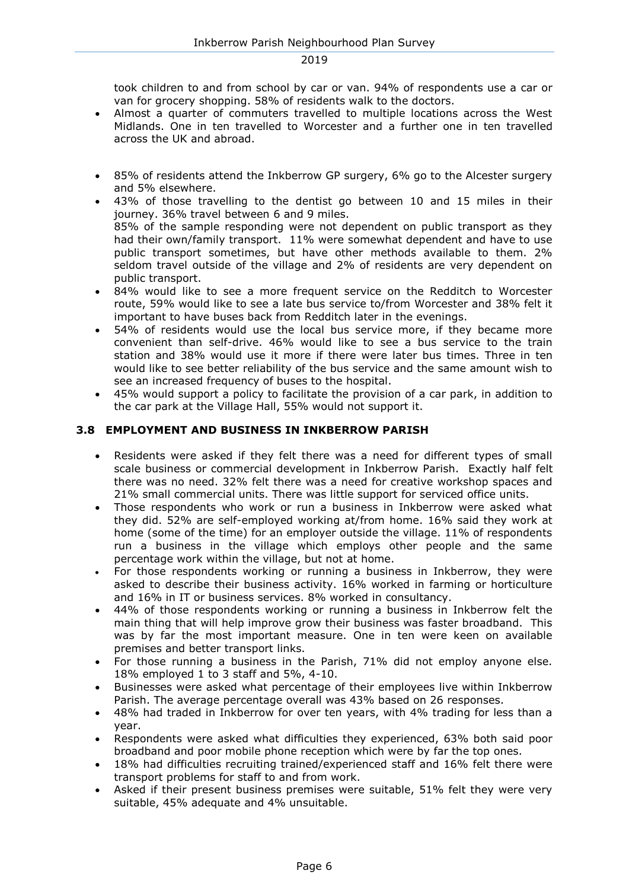took children to and from school by car or van. 94% of respondents use a car or van for grocery shopping. 58% of residents walk to the doctors.

- Almost a quarter of commuters travelled to multiple locations across the West Midlands. One in ten travelled to Worcester and a further one in ten travelled across the UK and abroad.
- 85% of residents attend the Inkberrow GP surgery, 6% go to the Alcester surgery and 5% elsewhere.
- 43% of those travelling to the dentist go between 10 and 15 miles in their journey. 36% travel between 6 and 9 miles. 85% of the sample responding were not dependent on public transport as they had their own/family transport. 11% were somewhat dependent and have to use public transport sometimes, but have other methods available to them. 2% seldom travel outside of the village and 2% of residents are very dependent on public transport.
- 84% would like to see a more frequent service on the Redditch to Worcester route, 59% would like to see a late bus service to/from Worcester and 38% felt it important to have buses back from Redditch later in the evenings.
- 54% of residents would use the local bus service more, if they became more convenient than self-drive. 46% would like to see a bus service to the train station and 38% would use it more if there were later bus times. Three in ten would like to see better reliability of the bus service and the same amount wish to see an increased frequency of buses to the hospital.
- 45% would support a policy to facilitate the provision of a car park, in addition to the car park at the Village Hall, 55% would not support it.

#### **3.8 EMPLOYMENT AND BUSINESS IN INKBERROW PARISH**

- Residents were asked if they felt there was a need for different types of small scale business or commercial development in Inkberrow Parish. Exactly half felt there was no need. 32% felt there was a need for creative workshop spaces and 21% small commercial units. There was little support for serviced office units.
- Those respondents who work or run a business in Inkberrow were asked what they did. 52% are self-employed working at/from home. 16% said they work at home (some of the time) for an employer outside the village. 11% of respondents run a business in the village which employs other people and the same percentage work within the village, but not at home.
- For those respondents working or running a business in Inkberrow, they were asked to describe their business activity. 16% worked in farming or horticulture and 16% in IT or business services. 8% worked in consultancy.
- 44% of those respondents working or running a business in Inkberrow felt the main thing that will help improve grow their business was faster broadband. This was by far the most important measure. One in ten were keen on available premises and better transport links.
- For those running a business in the Parish, 71% did not employ anyone else. 18% employed 1 to 3 staff and 5%, 4-10.
- Businesses were asked what percentage of their employees live within Inkberrow Parish. The average percentage overall was 43% based on 26 responses.
- 48% had traded in Inkberrow for over ten years, with 4% trading for less than a year.
- Respondents were asked what difficulties they experienced, 63% both said poor broadband and poor mobile phone reception which were by far the top ones.
- 18% had difficulties recruiting trained/experienced staff and 16% felt there were transport problems for staff to and from work.
- Asked if their present business premises were suitable, 51% felt they were very suitable, 45% adequate and 4% unsuitable.